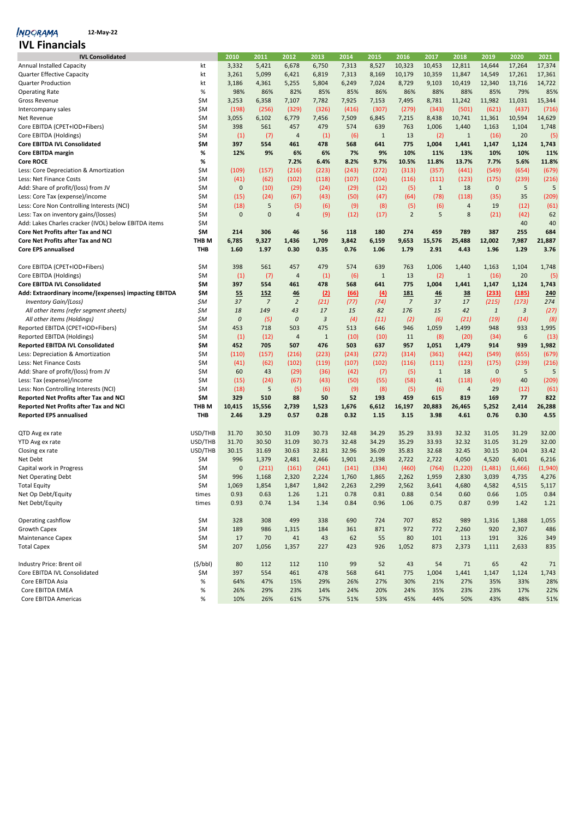## **12-May-22**

| <b>IVL Financials</b>                                 |            |                  |                |                |              |             |                |                |              |                         |              |         |            |
|-------------------------------------------------------|------------|------------------|----------------|----------------|--------------|-------------|----------------|----------------|--------------|-------------------------|--------------|---------|------------|
| <b>IVL Consolidated</b>                               |            | 2010             | 2011           | 2012           | 2013         | 2014        | 2015           | 2016           | 2017         | 2018                    | 2019         | 2020    | 2021       |
| <b>Annual Installed Capacity</b>                      | kt         | 3,332            | 5,421          | 6,678          | 6,750        | 7,313       | 8,527          | 10,323         | 10,453       | 12,811                  | 14,644       | 17,264  | 17,374     |
| <b>Quarter Effective Capacity</b>                     | kt         | 3,261            | 5,099          | 6,421          | 6,819        | 7,313       | 8,169          | 10,179         | 10,359       | 11,847                  | 14,549       | 17,261  | 17,361     |
| Quarter Production                                    | kt         | 3,186            | 4,361          | 5,255          | 5,804        | 6,249       | 7,024          | 8,729          | 9,103        | 10,419                  | 12,340       | 13,716  | 14,722     |
| <b>Operating Rate</b>                                 | $\%$       | 98%              | 86%            | 82%            | 85%          | 85%         | 86%            | 86%            | 88%          | 88%                     | 85%          | 79%     | 85%        |
| <b>Gross Revenue</b>                                  | \$M        | 3,253            | 6,358          | 7,107          | 7,782        | 7,925       | 7,153          | 7,495          | 8,781        | 11,242                  | 11,982       | 11,031  | 15,344     |
| Intercompany sales                                    | \$M        | (198)            | (256)          | (329)          | (326)        | (416)       | (307)          | (279)          | (343)        | (501)                   | (621)        | (437)   | (716)      |
| Net Revenue                                           | \$M        | 3,055            | 6,102          | 6,779          | 7,456        | 7,509       | 6,845          | 7,215          | 8,438        | 10,741                  | 11,361       | 10,594  | 14,629     |
| Core EBITDA (CPET+IOD+Fibers)                         | \$M        | 398              | 561            | 457            | 479          | 574         | 639            | 763            | 1,006        | 1,440                   | 1,163        | 1,104   | 1,748      |
| Core EBITDA (Holdings)                                | \$M        | (1)              | (7)            | $\overline{4}$ | (1)          | (6)         | $\mathbf{1}$   | 13             | (2)          | $\mathbf{1}$            | (16)         | 20      | (5)        |
| Core EBITDA IVL Consolidated                          | \$M        | 397              | 554            | 461            | 478          | 568         | 641            | 775            | 1,004        | 1,441                   | 1,147        | 1,124   | 1,743      |
| Core EBITDA margin                                    | %          | 12%              | 9%             | 6%             | 6%           | 7%          | 9%             | 10%            | 11%          | 13%                     | 10%          | 10%     | 11%        |
| <b>Core ROCE</b>                                      | %          |                  |                | 7.2%           | 6.4%         | 8.2%        | 9.7%           | 10.5%          | 11.8%        | 13.7%                   | 7.7%         | 5.6%    | 11.8%      |
| Less: Core Depreciation & Amortization                | \$M        | (109)            | (157)          | (216)          | (223)        | (243)       | (272)          | (313)          | (357)        | (441)                   | (549)        | (654)   | (679)      |
| Less: Net Finance Costs                               | \$M        | (41)             | (62)           | (102)          | (118)        | (107)       | (104)          | (116)          | (111)        | (123)                   | (175)        | (239)   | (216)      |
| Add: Share of profit/(loss) from JV                   | \$M        | $\mathbf 0$      | (10)           | (29)           | (24)         | (29)        | (12)           | (5)            | $\mathbf{1}$ | 18                      | $\mathbf 0$  | 5       | 5          |
|                                                       | \$M        |                  |                |                |              |             |                |                |              |                         |              | 35      |            |
| Less: Core Tax (expense)/income                       |            | (15)             | (24)           | (67)           | (43)         | (50)        | (47)           | (64)           | (78)         | (118)                   | (35)         |         | (209)      |
| Less: Core Non Controlling Interests (NCI)            | \$M        | (18)             | 5              | (5)            | (6)          | (9)         | (8)            | (5)            | (6)          | $\overline{a}$          | 19           | (12)    | (61)       |
| Less: Tax on inventory gains/(losses)                 | \$M        | $\mathbf 0$      | $\pmb{0}$      | $\overline{4}$ | (9)          | (12)        | (17)           | $\overline{2}$ | 5            | 8                       | (21)         | (42)    | 62         |
| Add: Lakes Charles cracker (IVOL) below EBITDA items  | \$M        |                  |                |                |              |             |                |                |              |                         |              | 40      | 40         |
| <b>Core Net Profits after Tax and NCI</b>             | \$M        | 214              | 306            | 46             | 56           | 118         | 180            | 274            | 459          | 789                     | 387          | 255     | 684        |
| <b>Core Net Profits after Tax and NCI</b>             | THB M      | 6,785            | 9,327          | 1,436          | 1,709        | 3,842       | 6,159          | 9,653          | 15,576       | 25,488                  | 12,002       | 7,987   | 21,887     |
| <b>Core EPS annualised</b>                            | <b>THB</b> | 1.60             | 1.97           | 0.30           | 0.35         | 0.76        | 1.06           | 1.79           | 2.91         | 4.43                    | 1.96         | 1.29    | 3.76       |
| Core EBITDA (CPET+IOD+Fibers)                         | \$M        | 398              | 561            | 457            | 479          | 574         | 639            | 763            | 1,006        | 1,440                   | 1,163        | 1,104   | 1,748      |
| Core EBITDA (Holdings)                                | \$M        | (1)              | (7)            | $\overline{a}$ | (1)          | (6)         | $\mathbf{1}$   | 13             | (2)          | $1\,$                   | (16)         | 20      | (5)        |
| <b>Core EBITDA IVL Consolidated</b>                   | \$M        | 397              | 554            | 461            | 478          | 568         | 641            | 775            | 1,004        | 1,441                   | 1,147        | 1,124   | 1,743      |
| Add: Extraordinary income/(expenses) impacting EBITDA | \$M        | 55               | 152            | 46             | (2)          | <u>(66)</u> | $\overline{4}$ | <b>181</b>     | 46           | 38                      | (233)        | (185)   | 240        |
| <b>Inventory Gain/(Loss)</b>                          | \$M        | 37               | $\overline{z}$ | $\overline{2}$ | (21)         | (77)        | (74)           | $\overline{7}$ | 37           | 17                      | (215)        | (173)   | 274        |
| All other items (refer segment sheets)                | \$M        | 18               | 149            | 43             | 17           | 15          | 82             | 176            | 15           | 42                      | $\mathbf{1}$ | 3       | (27)       |
| All other items (Holdings)                            | \$M        | $\boldsymbol{0}$ | (5)            | 0              | 3            | (4)         | (11)           | (2)            | (6)          | (21)                    | (19)         | (14)    | (8)        |
| Reported EBITDA (CPET+IOD+Fibers)                     | \$M        | 453              | 718            | 503            | 475          | 513         | 646            | 946            | 1,059        | 1,499                   | 948          | 933     | 1,995      |
| Reported EBITDA (Holdings)                            | \$M        | (1)              | (12)           | $\overline{a}$ | $\mathbf{1}$ | (10)        | (10)           | 11             | (8)          | (20)                    | (34)         | 6       | (13)       |
| <b>Reported EBITDA IVL Consolidated</b>               | \$M        | 452              | 705            | 507            | 476          | 503         | 637            | 957            | 1,051        | 1,479                   | 914          | 939     | 1,982      |
| Less: Depreciation & Amortization                     | \$M        | (110)            | (157)          | (216)          | (223)        | (243)       | (272)          | (314)          | (361)        | (442)                   | (549)        | (655)   | (679)      |
| Less: Net Finance Costs                               | \$M        |                  | (62)           | (102)          | (119)        | (107)       | (102)          | (116)          | (111)        | (123)                   | (175)        | (239)   |            |
|                                                       | \$M        | (41)<br>60       |                |                |              |             |                |                | $\mathbf{1}$ | 18                      | $\mathbf 0$  | 5       | (216)<br>5 |
| Add: Share of profit/(loss) from JV                   | \$M        | (15)             | 43<br>(24)     | (29)           | (36)         | (42)        | (7)            | (5)<br>(58)    | 41           |                         | (49)         | 40      |            |
| Less: Tax (expense)/income                            |            |                  | 5              | (67)           | (43)         | (50)        | (55)           |                |              | (118)<br>$\overline{4}$ |              |         | (209)      |
| Less: Non Controlling Interests (NCI)                 | \$M        | (18)             |                | (5)            | (6)          | (9)         | (8)            | (5)            | (6)          |                         | 29           | (12)    | (61)       |
| Reported Net Profits after Tax and NCI                | \$M        | 329              | 510            | 88             | 50           | 52          | 193            | 459            | 615          | 819                     | 169          | 77      | 822        |
| Reported Net Profits after Tax and NCI                | THB M      | 10,415           | 15,556         | 2,739          | 1,523        | 1,676       | 6,612          | 16,197         | 20,883       | 26,465                  | 5,252        | 2,414   | 26,288     |
| <b>Reported EPS annualised</b>                        | THB        | 2.46             | 3.29           | 0.57           | 0.28         | 0.32        | 1.15           | 3.15           | 3.98         | 4.61                    | 0.76         | 0.30    | 4.55       |
| QTD Avg ex rate                                       | USD/THB    | 31.70            | 30.50          | 31.09          | 30.73        | 32.48       | 34.29          | 35.29          | 33.93        | 32.32                   | 31.05        | 31.29   | 32.00      |
| YTD Avg ex rate                                       | USD/THB    | 31.70            | 30.50          | 31.09          | 30.73        | 32.48       | 34.29          | 35.29          | 33.93        | 32.32                   | 31.05        | 31.29   | 32.00      |
| Closing ex rate                                       | USD/THB    | 30.15            | 31.69          | 30.63          | 32.81        | 32.96       | 36.09          | 35.83          | 32.68        | 32.45                   | 30.15        | 30.04   | 33.42      |
| Net Debt                                              | \$M        | 996              | 1,379          | 2,481          | 2,466        | 1,901       | 2,198          | 2,722          | 2,722        | 4,050                   | 4,520        | 6,401   | 6,216      |
| Capital work in Progress                              | \$M        | $\mathbf{0}$     | (211)          | (161)          | (241)        | (141)       | (334)          | (460)          | (764)        | (1, 220)                | (1,481)      | (1,666) | (1,940)    |
| Net Operating Debt                                    | \$M        | 996              | 1,168          | 2,320          | 2,224        | 1,760       | 1,865          | 2,262          | 1,959        | 2,830                   | 3,039        | 4,735   | 4,276      |
| <b>Total Equity</b>                                   | \$M        | 1,069            | 1,854          | 1,847          | 1,842        | 2,263       | 2,299          | 2,562          | 3,641        | 4,680                   | 4,582        | 4,515   | 5,117      |
| Net Op Debt/Equity                                    | times      | 0.93             | 0.63           | 1.26           | 1.21         | 0.78        | 0.81           | 0.88           | 0.54         | 0.60                    | 0.66         | 1.05    | 0.84       |
| Net Debt/Equity                                       | times      | 0.93             | 0.74           | 1.34           | 1.34         | 0.84        | 0.96           | 1.06           | 0.75         | 0.87                    | 0.99         | 1.42    | 1.21       |
|                                                       |            |                  |                |                |              |             |                |                |              |                         |              |         |            |
| Operating cashflow                                    | \$M        | 328              | 308            | 499            | 338          | 690         | 724            | 707            | 852          | 989                     | 1,316        | 1,388   | 1,055      |
| <b>Growth Capex</b>                                   | \$M        | 189              | 986            | 1,315          | 184          | 361         | 871            | 972            | 772          | 2,260                   | 920          | 2,307   | 486        |
| Maintenance Capex                                     | \$M        | 17               | 70             | 41             | 43           | 62          | 55             | 80             | 101          | 113                     | 191          | 326     | 349        |
| <b>Total Capex</b>                                    | \$M        | 207              | 1,056          | 1,357          | 227          | 423         | 926            | 1,052          | 873          | 2,373                   | 1,111        | 2,633   | 835        |
|                                                       |            |                  |                |                |              |             |                |                |              |                         |              |         |            |
| Industry Price: Brent oil                             | (5/bbl)    | 80               | 112            | 112            | 110          | 99          | 52             | 43             | 54           | 71                      | 65           | 42      | 71         |
| Core EBITDA IVL Consolidated                          | \$M        | 397              | 554            | 461            | 478          | 568         | 641            | 775            | 1,004        | 1,441                   | 1,147        | 1,124   | 1,743      |
| Core EBITDA Asia                                      | %          | 64%              | 47%            | 15%            | 29%          | 26%         | 27%            | 30%            | 21%          | 27%                     | 35%          | 33%     | 28%        |
| Core EBITDA EMEA                                      | %          | 26%              | 29%            | 23%            | 14%          | 24%         | 20%            | 24%            | 35%          | 23%                     | 23%          | 17%     | 22%        |
| Core EBITDA Americas                                  | %          | 10%              | 26%            | 61%            | 57%          | 51%         | 53%            | 45%            | 44%          | 50%                     | 43%          | 48%     | 51%        |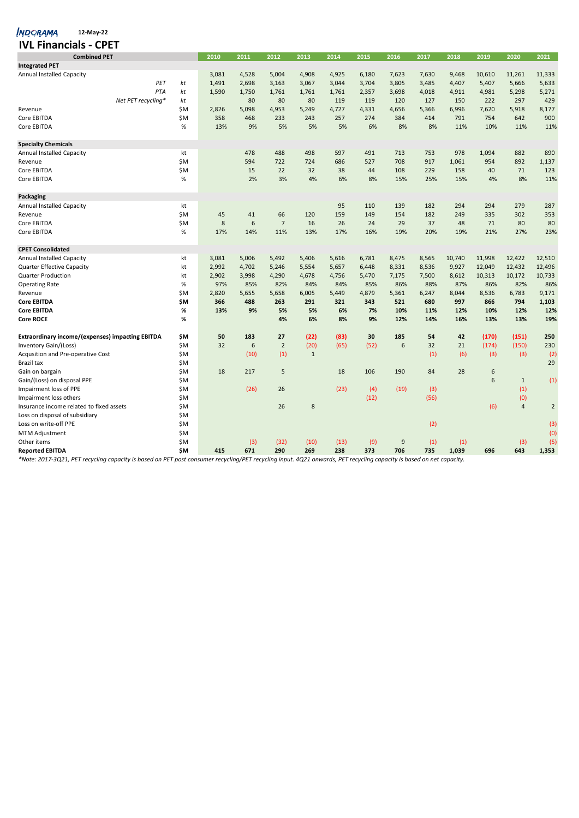| <b>IVL Financials - CPET</b>                            |     |       |       |                |              |       |       |       |       |        |        |                |                |
|---------------------------------------------------------|-----|-------|-------|----------------|--------------|-------|-------|-------|-------|--------|--------|----------------|----------------|
| <b>Combined PET</b>                                     |     | 2010  | 2011  | 2012           | 2013         | 2014  | 2015  | 2016  | 2017  | 2018   | 2019   | 2020           | 2021           |
| <b>Integrated PET</b>                                   |     |       |       |                |              |       |       |       |       |        |        |                |                |
| <b>Annual Installed Capacity</b>                        |     | 3,081 | 4,528 | 5,004          | 4,908        | 4,925 | 6,180 | 7,623 | 7,630 | 9,468  | 10,610 | 11,261         | 11,333         |
| PET                                                     | kt  | 1,491 | 2,698 | 3,163          | 3,067        | 3,044 | 3,704 | 3,805 | 3,485 | 4,407  | 5,407  | 5,666          | 5,633          |
| PTA                                                     | kt  | 1,590 | 1,750 | 1,761          | 1,761        | 1,761 | 2,357 | 3,698 | 4,018 | 4,911  | 4,981  | 5,298          | 5,271          |
| Net PET recycling*                                      | kt  |       | 80    | 80             | 80           | 119   | 119   | 120   | 127   | 150    | 222    | 297            | 429            |
| Revenue                                                 | \$M | 2,826 | 5,098 | 4,953          | 5,249        | 4,727 | 4,331 | 4,656 | 5,366 | 6,996  | 7,620  | 5,918          | 8,177          |
| Core EBITDA                                             | \$M | 358   | 468   | 233            | 243          | 257   | 274   | 384   | 414   | 791    | 754    | 642            | 900            |
| Core EBITDA                                             | %   | 13%   | 9%    | 5%             | 5%           | 5%    | 6%    | 8%    | 8%    | 11%    | 10%    | 11%            | 11%            |
| <b>Specialty Chemicals</b>                              |     |       |       |                |              |       |       |       |       |        |        |                |                |
| <b>Annual Installed Capacity</b>                        | kt  |       | 478   | 488            | 498          | 597   | 491   | 713   | 753   | 978    | 1,094  | 882            | 890            |
| Revenue                                                 | ŚΜ. |       | 594   | 722            | 724          | 686   | 527   | 708   | 917   | 1,061  | 954    | 892            | 1,137          |
| Core EBITDA                                             | \$M |       | 15    | 22             | 32           | 38    | 44    | 108   | 229   | 158    | 40     | 71             | 123            |
| Core EBITDA                                             | %   |       | 2%    | 3%             | 4%           | 6%    | 8%    | 15%   | 25%   | 15%    | 4%     | 8%             | 11%            |
| Packaging                                               |     |       |       |                |              |       |       |       |       |        |        |                |                |
| <b>Annual Installed Capacity</b>                        | kt  |       |       |                |              | 95    | 110   | 139   | 182   | 294    | 294    | 279            | 287            |
| Revenue                                                 | \$M | 45    | 41    | 66             | 120          | 159   | 149   | 154   | 182   | 249    | 335    | 302            | 353            |
| Core EBITDA                                             | \$M | 8     | 6     | $\overline{7}$ | 16           | 26    | 24    | 29    | 37    | 48     | 71     | 80             | 80             |
| Core EBITDA                                             | %   | 17%   | 14%   | 11%            | 13%          | 17%   | 16%   | 19%   | 20%   | 19%    | 21%    | 27%            | 23%            |
| <b>CPET Consolidated</b>                                |     |       |       |                |              |       |       |       |       |        |        |                |                |
| <b>Annual Installed Capacity</b>                        | kt  | 3,081 | 5,006 | 5,492          | 5,406        | 5,616 | 6,781 | 8,475 | 8,565 | 10,740 | 11,998 | 12,422         | 12,510         |
| Quarter Effective Capacity                              | kt  | 2,992 | 4,702 | 5,246          | 5,554        | 5,657 | 6,448 | 8,331 | 8,536 | 9,927  | 12,049 | 12,432         | 12,496         |
| <b>Quarter Production</b>                               | kt  | 2,902 | 3,998 | 4,290          | 4,678        | 4,756 | 5,470 | 7,175 | 7,500 | 8,612  | 10,313 | 10,172         | 10,733         |
| <b>Operating Rate</b>                                   | %   | 97%   | 85%   | 82%            | 84%          | 84%   | 85%   | 86%   | 88%   | 87%    | 86%    | 82%            | 86%            |
| Revenue                                                 | \$M | 2,820 | 5,655 | 5,658          | 6,005        | 5,449 | 4,879 | 5,361 | 6,247 | 8,044  | 8,536  | 6,783          | 9,171          |
| <b>Core EBITDA</b>                                      | \$Μ | 366   | 488   | 263            | 291          | 321   | 343   | 521   | 680   | 997    | 866    | 794            | 1,103          |
| <b>Core EBITDA</b>                                      | %   | 13%   | 9%    | 5%             | 5%           | 6%    | 7%    | 10%   | 11%   | 12%    | 10%    | 12%            | 12%            |
| <b>Core ROCE</b>                                        | %   |       |       | 4%             | 6%           | 8%    | 9%    | 12%   | 14%   | 16%    | 13%    | 13%            | 19%            |
| <b>Extraordinary income/(expenses) impacting EBITDA</b> | \$M | 50    | 183   | 27             | (22)         | (83)  | 30    | 185   | 54    | 42     | (170)  | (151)          | 250            |
| Inventory Gain/(Loss)                                   | \$M | 32    | 6     | $\overline{2}$ | (20)         | (65)  | (52)  | 6     | 32    | 21     | (174)  | (150)          | 230            |
| Acqusition and Pre-operative Cost                       | \$M |       | (10)  | (1)            | $\mathbf{1}$ |       |       |       | (1)   | (6)    | (3)    | (3)            | (2)            |
| Brazil tax                                              | \$M |       |       |                |              |       |       |       |       |        |        |                | 29             |
| Gain on bargain                                         | \$M | 18    | 217   | 5              |              | 18    | 106   | 190   | 84    | 28     | 6      |                |                |
| Gain/(Loss) on disposal PPE                             | \$M |       |       |                |              |       |       |       |       |        | 6      | $\mathbf{1}$   | (1)            |
| Impairment loss of PPE                                  | \$M |       | (26)  | 26             |              | (23)  | (4)   | (19)  | (3)   |        |        | (1)            |                |
| Impairment loss others                                  | \$M |       |       |                |              |       | (12)  |       | (56)  |        |        | (0)            |                |
| Insurance income related to fixed assets                | \$M |       |       | 26             | 8            |       |       |       |       |        | (6)    | $\overline{4}$ | $\overline{2}$ |
| Loss on disposal of subsidiary                          | \$Μ |       |       |                |              |       |       |       |       |        |        |                |                |
| Loss on write-off PPE                                   | \$M |       |       |                |              |       |       |       | (2)   |        |        |                | (3)            |
| <b>MTM Adjustment</b>                                   | \$M |       |       |                |              |       |       |       |       |        |        |                | (0)            |
| Other items                                             | \$M |       | (3)   | (32)           | (10)         | (13)  | (9)   | 9     | (1)   | (1)    |        | (3)            | (5)            |
| <b>Reported EBITDA</b>                                  | \$M | 415   | 671   | 290            | 269          | 238   | 373   | 706   | 735   | 1,039  | 696    | 643            | 1,353          |

*\*Note: 2017-3Q21, PET recycling capacity is based on PET post consumer recycling/PET recycling input. 4Q21 onwards, PET recycling capacity is based on net capacity.*

**12-May-22**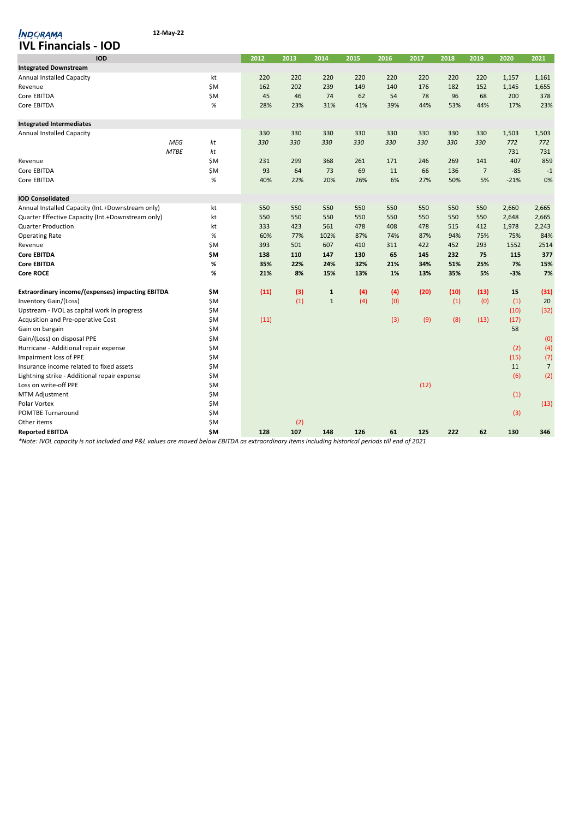| 12-May-22<br><i><b>INDORAMA</b></i>                     |                   |      |      |              |      |      |      |      |                |        |                |
|---------------------------------------------------------|-------------------|------|------|--------------|------|------|------|------|----------------|--------|----------------|
| <b>IVL Financials - IOD</b>                             |                   |      |      |              |      |      |      |      |                |        |                |
| <b>IOD</b>                                              |                   | 2012 | 2013 | 2014         | 2015 | 2016 | 2017 | 2018 | 2019           | 2020   | 2021           |
| <b>Integrated Downstream</b>                            |                   |      |      |              |      |      |      |      |                |        |                |
| <b>Annual Installed Capacity</b>                        | kt                | 220  | 220  | 220          | 220  | 220  | 220  | 220  | 220            | 1,157  | 1,161          |
| Revenue                                                 | \$M               | 162  | 202  | 239          | 149  | 140  | 176  | 182  | 152            | 1,145  | 1,655          |
| Core EBITDA                                             | \$M               | 45   | 46   | 74           | 62   | 54   | 78   | 96   | 68             | 200    | 378            |
| Core EBITDA                                             | $\%$              | 28%  | 23%  | 31%          | 41%  | 39%  | 44%  | 53%  | 44%            | 17%    | 23%            |
| <b>Integrated Intermediates</b>                         |                   |      |      |              |      |      |      |      |                |        |                |
| <b>Annual Installed Capacity</b>                        |                   | 330  | 330  | 330          | 330  | 330  | 330  | 330  | 330            | 1,503  | 1,503          |
|                                                         | <b>MEG</b><br>kt  | 330  | 330  | 330          | 330  | 330  | 330  | 330  | 330            | 772    | 772            |
|                                                         | kt<br><b>MTBE</b> |      |      |              |      |      |      |      |                | 731    | 731            |
| Revenue                                                 | \$M               | 231  | 299  | 368          | 261  | 171  | 246  | 269  | 141            | 407    | 859            |
| Core EBITDA                                             | <b>ŚΜ</b>         | 93   | 64   | 73           | 69   | 11   | 66   | 136  | $\overline{7}$ | $-85$  | $-1$           |
| Core EBITDA                                             | $\%$              | 40%  | 22%  | 20%          | 26%  | 6%   | 27%  | 50%  | 5%             | $-21%$ | 0%             |
| <b>IOD Consolidated</b>                                 |                   |      |      |              |      |      |      |      |                |        |                |
| Annual Installed Capacity (Int.+Downstream only)        | kt                | 550  | 550  | 550          | 550  | 550  | 550  | 550  | 550            | 2,660  | 2,665          |
| Quarter Effective Capacity (Int.+Downstream only)       | kt                | 550  | 550  | 550          | 550  | 550  | 550  | 550  | 550            | 2,648  | 2,665          |
| <b>Quarter Production</b>                               | kt                | 333  | 423  | 561          | 478  | 408  | 478  | 515  | 412            | 1,978  | 2,243          |
| <b>Operating Rate</b>                                   | $\%$              | 60%  | 77%  | 102%         | 87%  | 74%  | 87%  | 94%  | 75%            | 75%    | 84%            |
| Revenue                                                 | \$M               | 393  | 501  | 607          | 410  | 311  | 422  | 452  | 293            | 1552   | 2514           |
| <b>Core EBITDA</b>                                      | \$M               | 138  | 110  | 147          | 130  | 65   | 145  | 232  | 75             | 115    | 377            |
| <b>Core EBITDA</b>                                      | %                 | 35%  | 22%  | 24%          | 32%  | 21%  | 34%  | 51%  | 25%            | 7%     | 15%            |
| <b>Core ROCE</b>                                        | %                 | 21%  | 8%   | 15%          | 13%  | 1%   | 13%  | 35%  | 5%             | $-3%$  | 7%             |
| <b>Extraordinary income/(expenses) impacting EBITDA</b> | \$M               | (11) | (3)  | 1            | (4)  | (4)  | (20) | (10) | (13)           | 15     | (31)           |
| Inventory Gain/(Loss)                                   | ŚΜ                |      | (1)  | $\mathbf{1}$ | (4)  | (0)  |      | (1)  | (0)            | (1)    | 20             |
| Upstream - IVOL as capital work in progress             | \$M               |      |      |              |      |      |      |      |                | (10)   | (32)           |
| Acqusition and Pre-operative Cost                       | \$M               | (11) |      |              |      | (3)  | (9)  | (8)  | (13)           | (17)   |                |
| Gain on bargain                                         | \$M               |      |      |              |      |      |      |      |                | 58     |                |
| Gain/(Loss) on disposal PPE                             | ŚΜ                |      |      |              |      |      |      |      |                |        | (0)            |
| Hurricane - Additional repair expense                   | \$M               |      |      |              |      |      |      |      |                | (2)    | (4)            |
| Impairment loss of PPE                                  | ŚΜ                |      |      |              |      |      |      |      |                | (15)   | (7)            |
| Insurance income related to fixed assets                | \$M               |      |      |              |      |      |      |      |                | 11     | $\overline{7}$ |
| Lightning strike - Additional repair expense            | ŚΜ                |      |      |              |      |      |      |      |                | (6)    | (2)            |
| Loss on write-off PPE                                   | \$M               |      |      |              |      |      | (12) |      |                |        |                |
| <b>MTM Adjustment</b>                                   | ŚΜ                |      |      |              |      |      |      |      |                | (1)    |                |
| Polar Vortex                                            | \$M               |      |      |              |      |      |      |      |                |        | (13)           |
| <b>POMTBE Turnaround</b>                                | ŚΜ                |      |      |              |      |      |      |      |                | (3)    |                |
| Other items                                             | \$M               |      | (2)  |              |      |      |      |      |                |        |                |
| <b>Reported EBITDA</b>                                  | \$M               | 128  | 107  | 148          | 126  | 61   | 125  | 222  | 62             | 130    | 346            |
| $\overline{11101}$<br>1.111.11.11.11.1001               |                   |      |      |              |      |      |      |      |                |        |                |

*\*Note: IVOL capacity is not included and P&L values are moved below EBITDA as extraordinary items including historical periods till end of 2021*

**12-May-22**